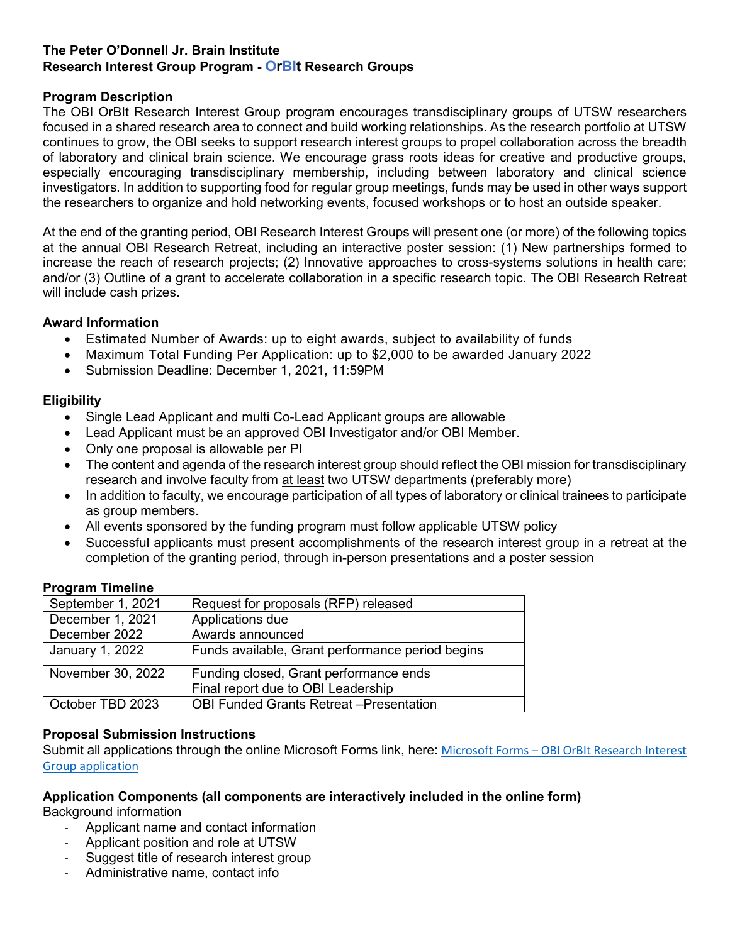# **The Peter O'Donnell Jr. Brain Institute Research Interest Group Program - OrBIt Research Groups**

## **Program Description**

The OBI OrBIt Research Interest Group program encourages transdisciplinary groups of UTSW researchers focused in a shared research area to connect and build working relationships. As the research portfolio at UTSW continues to grow, the OBI seeks to support research interest groups to propel collaboration across the breadth of laboratory and clinical brain science. We encourage grass roots ideas for creative and productive groups, especially encouraging transdisciplinary membership, including between laboratory and clinical science investigators. In addition to supporting food for regular group meetings, funds may be used in other ways support the researchers to organize and hold networking events, focused workshops or to host an outside speaker.

At the end of the granting period, OBI Research Interest Groups will present one (or more) of the following topics at the annual OBI Research Retreat, including an interactive poster session: (1) New partnerships formed to increase the reach of research projects; (2) Innovative approaches to cross-systems solutions in health care; and/or (3) Outline of a grant to accelerate collaboration in a specific research topic. The OBI Research Retreat will include cash prizes.

## **Award Information**

- Estimated Number of Awards: up to eight awards, subject to availability of funds
- Maximum Total Funding Per Application: up to \$2,000 to be awarded January 2022
- Submission Deadline: December 1, 2021, 11:59PM

## **Eligibility**

- Single Lead Applicant and multi Co-Lead Applicant groups are allowable
- Lead Applicant must be an approved OBI Investigator and/or OBI Member.
- Only one proposal is allowable per PI
- The content and agenda of the research interest group should reflect the OBI mission for transdisciplinary research and involve faculty from at least two UTSW departments (preferably more)
- In addition to faculty, we encourage participation of all types of laboratory or clinical trainees to participate as group members.
- All events sponsored by the funding program must follow applicable UTSW policy
- Successful applicants must present accomplishments of the research interest group in a retreat at the completion of the granting period, through in-person presentations and a poster session

#### **Program Timeline**

| September 1, 2021 | Request for proposals (RFP) released             |
|-------------------|--------------------------------------------------|
| December 1, 2021  | Applications due                                 |
| December 2022     | Awards announced                                 |
| January 1, 2022   | Funds available, Grant performance period begins |
| November 30, 2022 | Funding closed, Grant performance ends           |
|                   | Final report due to OBI Leadership               |
| October TBD 2023  | <b>OBI Funded Grants Retreat -Presentation</b>   |

#### **Proposal Submission Instructions**

Submit all applications through the online Microsoft Forms link, here: Microsoft Forms – [OBI OrBIt Research Interest](https://forms.office.com/Pages/ResponsePage.aspx?id=lYZBnaxxMUy1ssGWyOw8in0nnORaT6VMhzrxSmKOOnlURDRQV1BOQUZCTTNNUlEyT0tDMThMQVpDOS4u)  [Group application](https://forms.office.com/Pages/ResponsePage.aspx?id=lYZBnaxxMUy1ssGWyOw8in0nnORaT6VMhzrxSmKOOnlURDRQV1BOQUZCTTNNUlEyT0tDMThMQVpDOS4u)

#### **Application Components (all components are interactively included in the online form)**

Background information

- Applicant name and contact information
- Applicant position and role at UTSW
- Suggest title of research interest group
- Administrative name, contact info